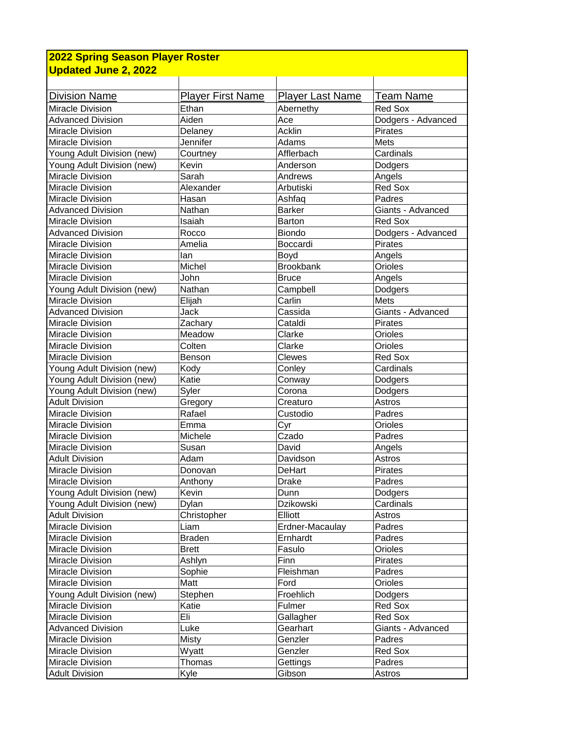| <b>2022 Spring Season Player Roster</b> |                          |                         |                    |  |  |
|-----------------------------------------|--------------------------|-------------------------|--------------------|--|--|
| <b>Updated June 2, 2022</b>             |                          |                         |                    |  |  |
|                                         |                          |                         |                    |  |  |
| <b>Division Name</b>                    | <b>Player First Name</b> | <b>Player Last Name</b> | Team Name          |  |  |
| Miracle Division                        | Ethan                    | Abernethy               | Red Sox            |  |  |
| <b>Advanced Division</b>                | Aiden                    | Ace                     | Dodgers - Advanced |  |  |
| Miracle Division                        | Delaney                  | <b>Acklin</b>           | Pirates            |  |  |
| Miracle Division                        | Jennifer                 | Adams                   | Mets               |  |  |
| Young Adult Division (new)              | Courtney                 | Afflerbach              | Cardinals          |  |  |
| Young Adult Division (new)              | Kevin                    | Anderson                | Dodgers            |  |  |
| Miracle Division                        | Sarah                    | Andrews                 | Angels             |  |  |
| Miracle Division                        | Alexander                | Arbutiski               | Red Sox            |  |  |
| Miracle Division                        | Hasan                    | Ashfaq                  | Padres             |  |  |
| Advanced Division                       | Nathan                   | <b>Barker</b>           | Giants - Advanced  |  |  |
| Miracle Division                        | Isaiah                   | <b>Barton</b>           | Red Sox            |  |  |
| <b>Advanced Division</b>                | Rocco                    | <b>Biondo</b>           | Dodgers - Advanced |  |  |
| Miracle Division                        | Amelia                   | Boccardi                | Pirates            |  |  |
| Miracle Division                        | lan                      | Boyd                    | Angels             |  |  |
| Miracle Division                        | Michel                   | <b>Brookbank</b>        | Orioles            |  |  |
| Miracle Division                        | John                     | <b>Bruce</b>            | Angels             |  |  |
| Young Adult Division (new)              | Nathan                   | Campbell                | Dodgers            |  |  |
| Miracle Division                        | Elijah                   | Carlin                  | Mets               |  |  |
| <b>Advanced Division</b>                | Jack                     | Cassida                 | Giants - Advanced  |  |  |
| Miracle Division                        | Zachary                  | Cataldi                 | <b>Pirates</b>     |  |  |
| Miracle Division                        | Meadow                   | Clarke                  | Orioles            |  |  |
| Miracle Division                        | Colten                   | Clarke                  | Orioles            |  |  |
| Miracle Division                        | Benson                   | Clewes                  | <b>Red Sox</b>     |  |  |
| Young Adult Division (new)              | Kody                     | Conley                  | Cardinals          |  |  |
| Young Adult Division (new)              | Katie                    | Conway                  | Dodgers            |  |  |
| Young Adult Division (new)              | Syler                    | Corona                  | Dodgers            |  |  |
| <b>Adult Division</b>                   | Gregory                  | Creaturo                | Astros             |  |  |
| Miracle Division                        | Rafael                   | Custodio                | Padres             |  |  |
| Miracle Division                        | Emma                     | Cyr                     | Orioles            |  |  |
| Miracle Division                        | Michele                  | Czado                   | Padres             |  |  |
| Miracle Division                        | Susan                    | David                   | Angels             |  |  |
| <b>Adult Division</b>                   | Adam                     | Davidson                | Astros             |  |  |
| Miracle Division                        | Donovan                  | DeHart                  | Pirates            |  |  |
| Miracle Division                        | Anthony                  | <b>Drake</b>            | Padres             |  |  |
| Young Adult Division (new)              | Kevin                    | Dunn                    | Dodgers            |  |  |
| Young Adult Division (new)              | Dylan                    | Dzikowski               | Cardinals          |  |  |
| <b>Adult Division</b>                   | Christopher              | Elliott                 | Astros             |  |  |
| Miracle Division                        | Liam                     | Erdner-Macaulay         | Padres             |  |  |
| Miracle Division                        | <b>Braden</b>            | Ernhardt                | Padres             |  |  |
| Miracle Division                        | <b>Brett</b>             | Fasulo                  | Orioles            |  |  |
| Miracle Division                        | Ashlyn                   | Finn                    | Pirates            |  |  |
| Miracle Division                        | Sophie                   | Fleishman               | Padres             |  |  |
| Miracle Division                        | Matt                     | Ford                    | Orioles            |  |  |
| Young Adult Division (new)              | Stephen                  | Froehlich               | Dodgers            |  |  |
| Miracle Division                        | Katie                    | Fulmer                  | Red Sox            |  |  |
| Miracle Division                        | Eli                      | Gallagher               | Red Sox            |  |  |
| <b>Advanced Division</b>                | Luke                     | Gearhart                | Giants - Advanced  |  |  |
| Miracle Division                        | <b>Misty</b>             | Genzler                 | Padres             |  |  |
| Miracle Division                        | Wyatt                    | Genzler                 | Red Sox            |  |  |
| Miracle Division                        | Thomas                   | Gettings                | Padres             |  |  |
| <b>Adult Division</b>                   | Kyle                     | Gibson                  | Astros             |  |  |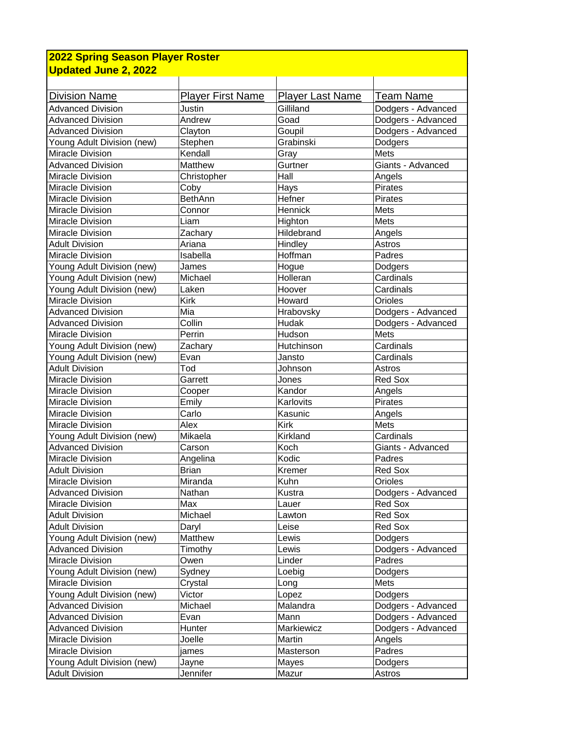| 2022 Spring Season Player Roster                    |                   |                         |                    |  |  |
|-----------------------------------------------------|-------------------|-------------------------|--------------------|--|--|
| <b>Updated June 2, 2022</b>                         |                   |                         |                    |  |  |
|                                                     |                   |                         |                    |  |  |
| <b>Division Name</b>                                | Player First Name | <b>Player Last Name</b> | Team Name          |  |  |
| <b>Advanced Division</b>                            | Justin            | Gilliland               | Dodgers - Advanced |  |  |
| <b>Advanced Division</b>                            | Andrew            | Goad                    | Dodgers - Advanced |  |  |
| <b>Advanced Division</b>                            | Clayton           | Goupil                  | Dodgers - Advanced |  |  |
| Young Adult Division (new)                          | Stephen           | Grabinski               | Dodgers            |  |  |
| Miracle Division                                    | Kendall           | Gray                    | Mets               |  |  |
| <b>Advanced Division</b>                            | Matthew           | Gurtner                 | Giants - Advanced  |  |  |
| Miracle Division                                    | Christopher       | Hall                    | Angels             |  |  |
| Miracle Division                                    | Coby              | Hays                    | Pirates            |  |  |
| Miracle Division                                    | <b>BethAnn</b>    | Hefner                  | <b>Pirates</b>     |  |  |
| Miracle Division                                    | Connor            | Hennick                 | Mets               |  |  |
| <b>Miracle Division</b>                             | Liam              | Highton                 | Mets               |  |  |
| <b>Miracle Division</b>                             | Zachary           | Hildebrand              | Angels             |  |  |
| Adult Division                                      | Ariana            | Hindley                 | Astros             |  |  |
| Miracle Division                                    | Isabella          | Hoffman                 | Padres             |  |  |
| Young Adult Division (new)                          | James             | Hogue                   | Dodgers            |  |  |
| Young Adult Division (new)                          | Michael           | Holleran                | Cardinals          |  |  |
| Young Adult Division (new)                          | Laken             | Hoover                  | Cardinals          |  |  |
| Miracle Division                                    | Kirk              | Howard                  | Orioles            |  |  |
| <b>Advanced Division</b>                            | Mia               | Hrabovsky               | Dodgers - Advanced |  |  |
| <b>Advanced Division</b>                            | Collin            | Hudak                   | Dodgers - Advanced |  |  |
| Miracle Division                                    | Perrin            | Hudson                  | Mets               |  |  |
| Young Adult Division (new)                          | Zachary           | Hutchinson              | Cardinals          |  |  |
|                                                     | Evan              | Jansto                  | Cardinals          |  |  |
| Young Adult Division (new)<br><b>Adult Division</b> | Tod               | Johnson                 | Astros             |  |  |
| Miracle Division                                    | Garrett           |                         | <b>Red Sox</b>     |  |  |
|                                                     |                   | Jones                   |                    |  |  |
| Miracle Division<br>Miracle Division                | Cooper            | Kandor<br>Karlovits     | Angels<br>Pirates  |  |  |
| Miracle Division                                    | Emily             |                         |                    |  |  |
|                                                     | Carlo<br>Alex     | Kasunic<br><b>Kirk</b>  | Angels             |  |  |
| Miracle Division                                    | Mikaela           |                         | Mets<br>Cardinals  |  |  |
| Young Adult Division (new)                          |                   | Kirkland                |                    |  |  |
| <b>Advanced Division</b>                            | Carson            | Koch                    | Giants - Advanced  |  |  |
| Miracle Division                                    | Angelina          | Kodic                   | Padres             |  |  |
| <b>Adult Division</b>                               | <b>Brian</b>      | Kremer                  | Red Sox            |  |  |
| Miracle Division                                    | Miranda           | Kuhn                    | Orioles            |  |  |
| <b>Advanced Division</b>                            | Nathan            | Kustra                  | Dodgers - Advanced |  |  |
| Miracle Division                                    | Max               | Lauer                   | Red Sox            |  |  |
| <b>Adult Division</b>                               | Michael           | Lawton                  | Red Sox            |  |  |
| <b>Adult Division</b>                               | Daryl             | Leise                   | Red Sox            |  |  |
| Young Adult Division (new)                          | Matthew           | Lewis                   | Dodgers            |  |  |
| <b>Advanced Division</b>                            | Timothy           | Lewis                   | Dodgers - Advanced |  |  |
| Miracle Division                                    | Owen              | Linder                  | Padres             |  |  |
| Young Adult Division (new)                          | Sydney            | Loebig                  | Dodgers            |  |  |
| Miracle Division                                    | Crystal           | Long                    | Mets               |  |  |
| Young Adult Division (new)                          | Victor            | Lopez                   | Dodgers            |  |  |
| <b>Advanced Division</b>                            | Michael           | Malandra                | Dodgers - Advanced |  |  |
| <b>Advanced Division</b>                            | Evan              | Mann                    | Dodgers - Advanced |  |  |
| <b>Advanced Division</b>                            | Hunter            | Markiewicz              | Dodgers - Advanced |  |  |
| Miracle Division                                    | Joelle            | Martin                  | Angels             |  |  |
| Miracle Division                                    | james             | Masterson               | Padres             |  |  |
| Young Adult Division (new)                          | Jayne             | Mayes                   | Dodgers            |  |  |
| <b>Adult Division</b>                               | Jennifer          | Mazur                   | Astros             |  |  |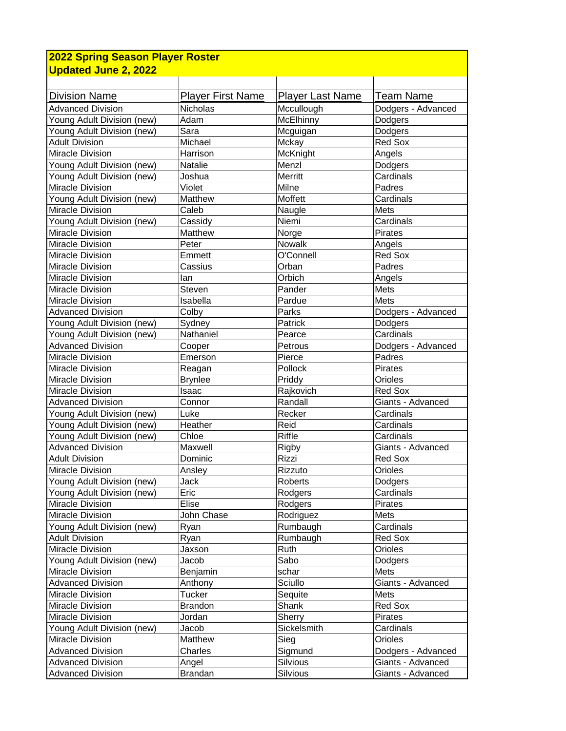| 2022 Spring Season Player Roster |                          |                         |                    |  |  |
|----------------------------------|--------------------------|-------------------------|--------------------|--|--|
| <b>Updated June 2, 2022</b>      |                          |                         |                    |  |  |
|                                  |                          |                         |                    |  |  |
| <b>Division Name</b>             | <b>Player First Name</b> | <b>Player Last Name</b> | <b>Team Name</b>   |  |  |
| <b>Advanced Division</b>         | Nicholas                 | Mccullough              | Dodgers - Advanced |  |  |
| Young Adult Division (new)       | Adam                     | <b>McElhinny</b>        | Dodgers            |  |  |
| Young Adult Division (new)       | Sara                     | Mcguigan                | Dodgers            |  |  |
| <b>Adult Division</b>            | Michael                  | Mckay                   | Red Sox            |  |  |
| <b>Miracle Division</b>          | Harrison                 | McKnight                | Angels             |  |  |
| Young Adult Division (new)       | Natalie                  | Menzl                   | Dodgers            |  |  |
| Young Adult Division (new)       | Joshua                   | Merritt                 | Cardinals          |  |  |
| Miracle Division                 | Violet                   | Milne                   | Padres             |  |  |
| Young Adult Division (new)       | Matthew                  | Moffett                 | Cardinals          |  |  |
| Miracle Division                 | Caleb                    | Naugle                  | Mets               |  |  |
| Young Adult Division (new)       | Cassidy                  | Niemi                   | Cardinals          |  |  |
| Miracle Division                 | Matthew                  | Norge                   | <b>Pirates</b>     |  |  |
| Miracle Division                 | Peter                    | Nowalk                  | Angels             |  |  |
| Miracle Division                 | Emmett                   | O'Connell               | Red Sox            |  |  |
| Miracle Division                 | Cassius                  | Orban                   | Padres             |  |  |
| Miracle Division                 | lan                      | Orbich                  | Angels             |  |  |
| Miracle Division                 | <b>Steven</b>            | Pander                  | Mets               |  |  |
| Miracle Division                 | Isabella                 | Pardue                  | Mets               |  |  |
| <b>Advanced Division</b>         | Colby                    | Parks                   | Dodgers - Advanced |  |  |
| Young Adult Division (new)       | Sydney                   | Patrick                 | Dodgers            |  |  |
| Young Adult Division (new)       | Nathaniel                | Pearce                  | Cardinals          |  |  |
| <b>Advanced Division</b>         | Cooper                   | Petrous                 | Dodgers - Advanced |  |  |
| Miracle Division                 | Emerson                  | Pierce                  | Padres             |  |  |
| Miracle Division                 | Reagan                   | Pollock                 | Pirates            |  |  |
| Miracle Division                 | <b>Brynlee</b>           | Priddy                  | Orioles            |  |  |
| Miracle Division                 | Isaac                    | Rajkovich               | Red Sox            |  |  |
| <b>Advanced Division</b>         | Connor                   | Randall                 | Giants - Advanced  |  |  |
| Young Adult Division (new)       | Luke                     | Recker                  | Cardinals          |  |  |
| Young Adult Division (new)       | Heather                  | Reid                    | Cardinals          |  |  |
| Young Adult Division (new)       | Chloe                    | Riffle                  | Cardinals          |  |  |
| <b>Advanced Division</b>         | Maxwell                  | Rigby                   | Giants - Advanced  |  |  |
| <b>Adult Division</b>            | Dominic                  | Rizzi                   | <b>Red Sox</b>     |  |  |
| Miracle Division                 | Ansley                   | Rizzuto                 | Orioles            |  |  |
| Young Adult Division (new)       | Jack                     | Roberts                 | Dodgers            |  |  |
| Young Adult Division (new)       | Eric                     | Rodgers                 | Cardinals          |  |  |
| Miracle Division                 | Elise                    | Rodgers                 | Pirates            |  |  |
| Miracle Division                 | John Chase               | Rodriguez               | Mets               |  |  |
| Young Adult Division (new)       | Ryan                     | Rumbaugh                | Cardinals          |  |  |
| <b>Adult Division</b>            | Ryan                     | Rumbaugh                | Red Sox            |  |  |
| Miracle Division                 | Jaxson                   | Ruth                    | Orioles            |  |  |
| Young Adult Division (new)       | Jacob                    | Sabo                    | Dodgers            |  |  |
| Miracle Division                 | Benjamin                 | schar                   | Mets               |  |  |
| <b>Advanced Division</b>         | Anthony                  | Sciullo                 | Giants - Advanced  |  |  |
| Miracle Division                 | Tucker                   | Sequite                 | Mets               |  |  |
| Miracle Division                 | Brandon                  | Shank                   | Red Sox            |  |  |
| Miracle Division                 | Jordan                   | Sherry                  | Pirates            |  |  |
| Young Adult Division (new)       | Jacob                    | Sickelsmith             | Cardinals          |  |  |
| Miracle Division                 | Matthew                  | Sieg                    | Orioles            |  |  |
| <b>Advanced Division</b>         | Charles                  | Sigmund                 | Dodgers - Advanced |  |  |
| <b>Advanced Division</b>         | Angel                    | Silvious                | Giants - Advanced  |  |  |
| <b>Advanced Division</b>         | <b>Brandan</b>           | Silvious                | Giants - Advanced  |  |  |